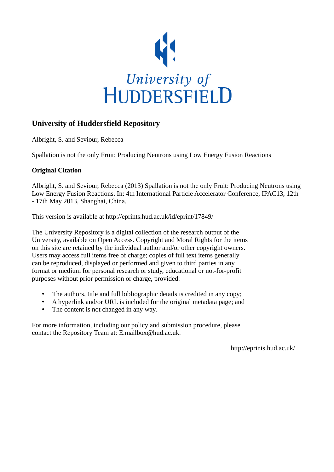

# **University of Huddersfield Repository**

Albright, S. and Seviour, Rebecca

Spallation is not the only Fruit: Producing Neutrons using Low Energy Fusion Reactions

### **Original Citation**

Albright, S. and Seviour, Rebecca (2013) Spallation is not the only Fruit: Producing Neutrons using Low Energy Fusion Reactions. In: 4th International Particle Accelerator Conference, IPAC13, 12th - 17th May 2013, Shanghai, China.

This version is available at http://eprints.hud.ac.uk/id/eprint/17849/

The University Repository is a digital collection of the research output of the University, available on Open Access. Copyright and Moral Rights for the items on this site are retained by the individual author and/or other copyright owners. Users may access full items free of charge; copies of full text items generally can be reproduced, displayed or performed and given to third parties in any format or medium for personal research or study, educational or not-for-profit purposes without prior permission or charge, provided:

- The authors, title and full bibliographic details is credited in any copy;
- A hyperlink and/or URL is included for the original metadata page; and
- The content is not changed in any way.

For more information, including our policy and submission procedure, please contact the Repository Team at: E.mailbox@hud.ac.uk.

http://eprints.hud.ac.uk/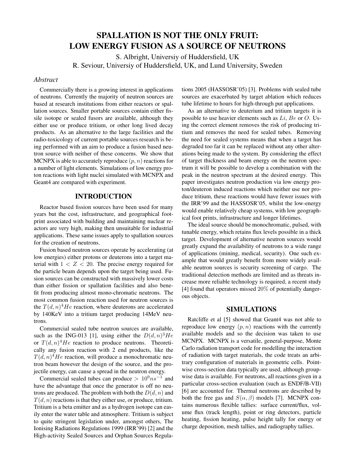# SPALLATION IS NOT THE ONLY FRUIT: LOW ENERGY FUSION AS A SOURCE OF NEUTRONS

S. Albright, Universiy of Huddersfield, UK R. Seviour, Universiy of Huddersfield, UK, and Lund University, Sweden

#### *Abstract*

Commercially there is a growing interest in applications of neutrons. Currently the majority of neutron sources are based at research institutions from either reactors or spallation sources. Smaller portable sources contain either fissile isotope or sealed fusors are available, although they either use or produce tritium, or other long lived decay products. As an alternative to the large facilities and the radio-toxicology of current portable sources research is being performed with an aim to produce a fusion based neutron source with neither of these concerns. We show that MCNPX is able to accurately reproduce  $(p, n)$  reactions for a number of light elements. Simulations of low energy proton reactions with light nuclei simulated with MCNPX and Geant4 are compared with experiment.

### INTRODUCTION

Reactor based fission sources have been used for many years but the cost, infrastructure, and geographical footprint associated with building and maintaining nuclear reactors are very high, making then unsuitable for industrial applications. These same issues apply to spallation sources for the creation of neutrons.

Fusion based neutron sources operate by accelerating (at low energies) either protons or deuterons into a target material with  $1 < Z < 20$ . The precise energy required for the particle beam depends upon the target being used. Fusion sources can be constructed with massively lower costs than either fission or spallation facilities and also benefit from producing almost mono-chromatic neutrons. The most common fusion reaction used for neutron sources is the  $T(d, n)^4$  *He* reaction, where deuterons are accelerated by 140KeV into a tritium target producing 14MeV neutrons.

Commercial sealed tube neutron sources are available, such as the ING-013 [1], using either the  $D(d, n)^3He$ or  $T(d, n)^4$  He reaction to produce neutrons. Theoretically any fusion reaction with 2 end products, like the  $T(d, n)^4$ He reaction, will produce a monochromatic neutron beam however the design of the source, and the projectile energy, can cause a spread in the neutron energy.

Commercial sealed tubes can produce >  $10^9$ ns<sup>-1</sup> and have the advantage that once the generator is off no neutrons are produced. The problem with both the  $D(d, n)$  and  $T(d, n)$  reactions is that they either use, or produce, tritium. Tritium is a beta emitter and as a hydrogen isotope can easily enter the water table and atmosphere. Tritium is subject to quite stringent legislation under, amongst others, The Ionising Radiations Regulations 1999 (IRR'99) [2] and the High-activity Sealed Sources and Orphan Sources Regula-

tions 2005 (HASSOSR'05) [3]. Problems with sealed tube sources are exacerbated by target ablation which reduces tube lifetime to hours for high-through put applications.

As an alternative to deuterium and tritium targets it is possible to use heavier elements such as  $Li$ ,  $Be$  or  $O$ . Using the correct element removes the risk of producing tritium and removes the need for sealed tubes. Removing the need for sealed systems means that when a target has degraded too far it can be replaced without any other alterations being made to the system. By considering the effect of target thickness and beam energy on the neutron spectrum it will be possible to develop a combination with the peak in the neutron spectrum at the desired energy. This paper investigates neutron production via low energy proton/deuteron induced reactions which neither use nor produce tritium, these reactions would have fewer issues with the IRR'99 and the HASSOSR'05, whilst the low-energy would enable relatively cheap systems, with low geographical foot prints, infrastructure and longer lifetimes.

The ideal source should be monochromatic, pulsed, with tunable energy, which retains flux levels possible in a thick target. Development of alternative neutron sources would greatly expand the availability of neutrons to a wide range of applications (mining, medical, security). One such example that would greatly benefit from more widely available neutron sources is security screening of cargo. The traditional detection methods are limited and as threats increase more reliable technology is required, a recent study [4] found that operators missed 20% of potentially dangerous objects.

#### SIMULATIONS

Ratcliffe et al [5] showed that Geant4 was not able to reproduce low energy  $(p, n)$  reactions with the currently available models and so the decision was taken to use MCNPX. MCNPX is a versatile, general-purpose, Monte Carlo radiation transport code for modelling the interaction of radiation with target materials, the code treats an arbitrary configuration of materials in geometric cells. Pointwise cross-section data typically are used, although groupwise data is available. For neutrons, all reactions given in a particular cross-section evaluation (such as ENDF/B-VII) [6] are accounted for. Thermal neutrons are described by both the free gas and  $S(\alpha, \beta)$  models [7]. MCNPX contains numerous flexible tallies: surface current/flux, volume flux (track length), point or ring detectors, particle heating, fission heating, pulse height tally for energy or charge deposition, mesh tallies, and radiography tallies.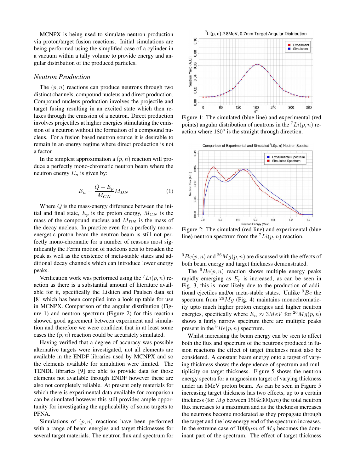MCNPX is being used to simulate neutron production via proton/target fusion reactions. Initial simulations are being performed using the simplified case of a cylinder in a vacuum within a tally volume to provide energy and angular distribution of the produced particles.

#### *Neutron Production*

The  $(p, n)$  reactions can produce neutrons through two distinct channels, compound nucleus and direct production. Compound nucleus production involves the projectile and target fusing resulting in an excited state which then relaxes through the emission of a neutron. Direct production involves projectiles at higher energies stimulating the emission of a neutron without the formation of a compound nucleus. For a fusion based neutron source it is desirable to remain in an energy regime where direct production is not a factor.

In the simplest approximation a  $(p, n)$  reaction will produce a perfectly mono-chromatic neutron beam where the neutron energy  $E_n$  is given by:

$$
E_n = \frac{Q + E_p}{M_{CN}} M_{DN} \tag{1}
$$

Where  $Q$  is the mass-energy difference between the initial and final state,  $E_p$  is the proton energy,  $M_{CN}$  is the mass of the compound nucleus and  $M_{DN}$  is the mass of the decay nucleus. In practice even for a perfectly monoenergetic proton beam the neutron beam is still not perfectly mono-chromatic for a number of reasons most significantly the Fermi motion of nucleons acts to broaden the peak as well as the existence of meta-stable states and additional decay channels which can introduce lower energy peaks.

Verification work was performed using the  $^{7}Li(p, n)$  reaction as there is a substantial amount of literature available for it, specifically the Liskien and Paulsen data set [8] which has been compiled into a look up table for use in MCNPX. Comparison of the angular distribution (Figure 1) and neutron spectrum (Figure 2) for this reaction showed good agreement between experiment and simulation and therefore we were confident that in at least some cases the  $(p, n)$  reaction could be accurately simulated.

Having verified that a degree of accuracy was possible alternative targets were investigated, not all elements are available in the ENDF libraries used by MCNPX and so the elements available for simulation were limited. The TENDL libraries [9] are able to provide data for those elements not available through ENDF however these are also not completely reliable. At present only materials for which there is experimental data available for comparison can be simulated however this still provides ample opportunity for investigating the applicability of some targets to PFNA.

Simulations of  $(p, n)$  reactions have been performed with a range of beam energies and target thicknesses for several target materials. The neutron flux and spectrum for



Figure 1: The simulated (blue line) and experimental (red points) angular distribution of neutrons in the  $^{7}Li(p, n)$  reaction where  $180^\circ$  is the straight through direction.



Figure 2: The simulated (red line) and experimental (blue line) neutron spectrum from the  $^{7}Li(p, n)$  reaction.

 $^{9}Be(p, n)$  and  $^{26}Mg(p, n)$  are discussed with the effects of both beam energy and target thickness demonstrated.

The  ${}^{9}Be(p, n)$  reaction shows multiple energy peaks rapidly emerging as  $E_p$  is increased, as can be seen in Fig. 3, this is most likely due to the production of additional ejectiles and/or meta-stable states. Unlike  ${}^{9}Be$  the spectrum from  $^{26}Mg$  (Fig. 4) maintains monochromaticity upto much higher proton energies and higher neutron energies, specifically where  $E_n \approx 3MeV$  for <sup>26</sup> $Mg(p, n)$ shows a fairly narrow spectrum there are multiple peaks present in the  ${}^{9}Be(p, n)$  spectrum.

Whilst increasing the beam energy can be seen to affect both the flux and spectrum of the neutrons produced in fusion reactions the effect of target thickness must also be considered. A constant beam energy onto a target of varying thickness shows the dependence of spectrum and multiplicity on target thickness. Figure 5 shows the neutron energy spectra for a magnesium target of varying thickness under an 8MeV proton beam. As can be seen in Figure 5 increasing target thickness has two effects, up to a certain thickness (for  $Mg$  between  $150\&300\mu m$ ) the total neutron flux increases to a maximum and as the thickness increases the neutrons become moderated as they propagate through the target and the low energy end of the spectrum increases. In the extreme case of  $1000 \mu m$  of  $Mg$  becomes the dominant part of the spectrum. The effect of target thickness